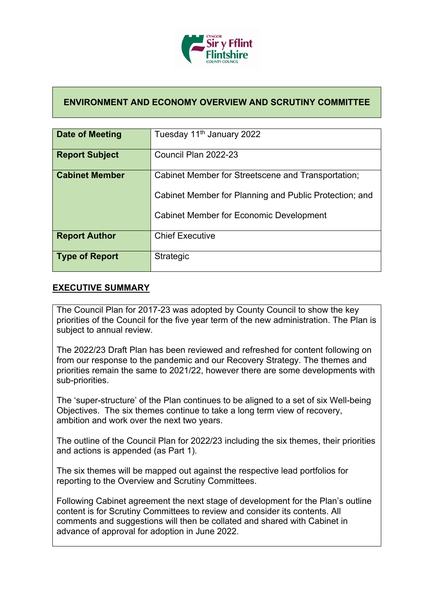

## **ENVIRONMENT AND ECONOMY OVERVIEW AND SCRUTINY COMMITTEE**

| Date of Meeting       | Tuesday 11 <sup>th</sup> January 2022                                                                        |
|-----------------------|--------------------------------------------------------------------------------------------------------------|
| <b>Report Subject</b> | Council Plan 2022-23                                                                                         |
| <b>Cabinet Member</b> | Cabinet Member for Streetscene and Transportation;<br>Cabinet Member for Planning and Public Protection; and |
|                       | <b>Cabinet Member for Economic Development</b>                                                               |
| <b>Report Author</b>  | <b>Chief Executive</b>                                                                                       |
| <b>Type of Report</b> | <b>Strategic</b>                                                                                             |

## **EXECUTIVE SUMMARY**

The Council Plan for 2017-23 was adopted by County Council to show the key priorities of the Council for the five year term of the new administration. The Plan is subject to annual review.

The 2022/23 Draft Plan has been reviewed and refreshed for content following on from our response to the pandemic and our Recovery Strategy. The themes and priorities remain the same to 2021/22, however there are some developments with sub-priorities.

The 'super-structure' of the Plan continues to be aligned to a set of six Well-being Objectives. The six themes continue to take a long term view of recovery, ambition and work over the next two years.

The outline of the Council Plan for 2022/23 including the six themes, their priorities and actions is appended (as Part 1).

The six themes will be mapped out against the respective lead portfolios for reporting to the Overview and Scrutiny Committees.

Following Cabinet agreement the next stage of development for the Plan's outline content is for Scrutiny Committees to review and consider its contents. All comments and suggestions will then be collated and shared with Cabinet in advance of approval for adoption in June 2022.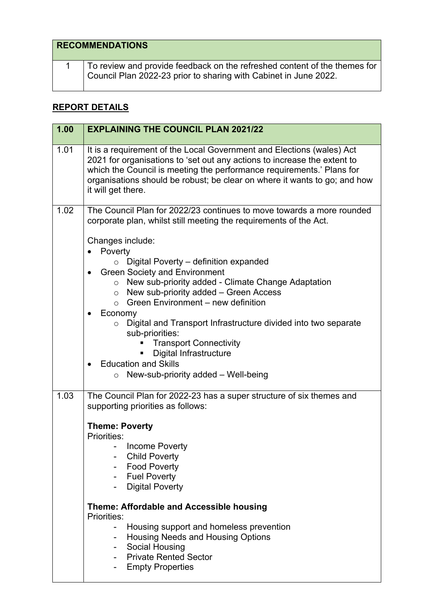| <b>RECOMMENDATIONS</b> |                                                                                                                                               |
|------------------------|-----------------------------------------------------------------------------------------------------------------------------------------------|
|                        | To review and provide feedback on the refreshed content of the themes for<br>Council Plan 2022-23 prior to sharing with Cabinet in June 2022. |

## **REPORT DETAILS**

| 1.00 | <b>EXPLAINING THE COUNCIL PLAN 2021/22</b>                                                                                                                                                                                                                                                                                                                                                                                                                                                                                                                                                                                                                                                                                                    |
|------|-----------------------------------------------------------------------------------------------------------------------------------------------------------------------------------------------------------------------------------------------------------------------------------------------------------------------------------------------------------------------------------------------------------------------------------------------------------------------------------------------------------------------------------------------------------------------------------------------------------------------------------------------------------------------------------------------------------------------------------------------|
| 1.01 | It is a requirement of the Local Government and Elections (wales) Act<br>2021 for organisations to 'set out any actions to increase the extent to<br>which the Council is meeting the performance requirements.' Plans for<br>organisations should be robust; be clear on where it wants to go; and how<br>it will get there.                                                                                                                                                                                                                                                                                                                                                                                                                 |
| 1.02 | The Council Plan for 2022/23 continues to move towards a more rounded<br>corporate plan, whilst still meeting the requirements of the Act.<br>Changes include:<br>Poverty<br>$\bullet$<br>Digital Poverty - definition expanded<br>$\circ$<br><b>Green Society and Environment</b><br>New sub-priority added - Climate Change Adaptation<br>$\circ$<br>New sub-priority added - Green Access<br>$\circ$<br>$\circ$ Green Environment – new definition<br>Economy<br>$\bullet$<br>Digital and Transport Infrastructure divided into two separate<br>$\circ$<br>sub-priorities:<br><b>Transport Connectivity</b><br><b>Digital Infrastructure</b><br><b>Education and Skills</b><br>$\bullet$<br>New-sub-priority added - Well-being<br>$\circ$ |
| 1.03 | The Council Plan for 2022-23 has a super structure of six themes and<br>supporting priorities as follows:<br><b>Theme: Poverty</b><br>Priorities:<br>Income Poverty<br><b>Child Poverty</b><br><b>Food Poverty</b><br><b>Fuel Poverty</b><br><b>Digital Poverty</b><br>Theme: Affordable and Accessible housing<br>Priorities:<br>Housing support and homeless prevention<br>$\overline{\phantom{0}}$<br>Housing Needs and Housing Options<br>Social Housing<br>Ξ.<br><b>Private Rented Sector</b><br><b>Empty Properties</b>                                                                                                                                                                                                                 |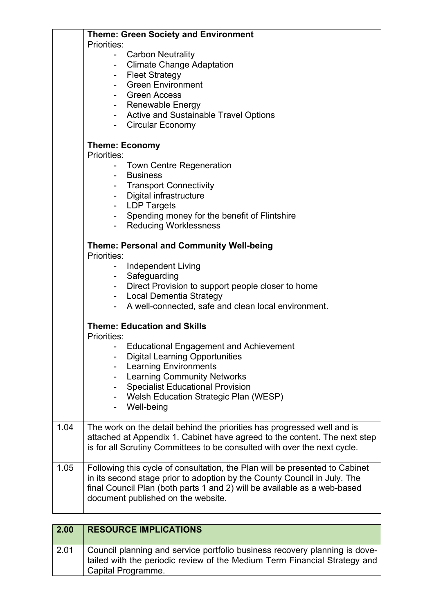|      | <b>Theme: Green Society and Environment</b>                                                                                                           |
|------|-------------------------------------------------------------------------------------------------------------------------------------------------------|
|      | <b>Priorities:</b>                                                                                                                                    |
|      | <b>Carbon Neutrality</b><br>$\overline{\phantom{a}}$                                                                                                  |
|      | Climate Change Adaptation                                                                                                                             |
|      | - Fleet Strategy                                                                                                                                      |
|      | <b>Green Environment</b>                                                                                                                              |
|      | - Green Access                                                                                                                                        |
|      | - Renewable Energy                                                                                                                                    |
|      | - Active and Sustainable Travel Options                                                                                                               |
|      | - Circular Economy                                                                                                                                    |
|      | <b>Theme: Economy</b><br>Priorities:                                                                                                                  |
|      |                                                                                                                                                       |
|      | Town Centre Regeneration<br>$\overline{\phantom{0}}$<br><b>Business</b>                                                                               |
|      | - Transport Connectivity                                                                                                                              |
|      | - Digital infrastructure                                                                                                                              |
|      | - LDP Targets                                                                                                                                         |
|      | Spending money for the benefit of Flintshire<br>-                                                                                                     |
|      | <b>Reducing Worklessness</b><br>$\sim$ 10 $\pm$                                                                                                       |
|      |                                                                                                                                                       |
|      | Theme: Personal and Community Well-being<br>Priorities:                                                                                               |
|      | <b>Independent Living</b>                                                                                                                             |
|      | Safeguarding                                                                                                                                          |
|      | Direct Provision to support people closer to home                                                                                                     |
|      | - Local Dementia Strategy                                                                                                                             |
|      | A well-connected, safe and clean local environment.                                                                                                   |
|      |                                                                                                                                                       |
|      | <b>Theme: Education and Skills</b><br>Priorities:                                                                                                     |
|      | <b>Educational Engagement and Achievement</b>                                                                                                         |
|      | <b>Digital Learning Opportunities</b>                                                                                                                 |
|      | <b>Learning Environments</b>                                                                                                                          |
|      | <b>Learning Community Networks</b>                                                                                                                    |
|      | <b>Specialist Educational Provision</b>                                                                                                               |
|      | Welsh Education Strategic Plan (WESP)                                                                                                                 |
|      | Well-being                                                                                                                                            |
|      |                                                                                                                                                       |
| 1.04 | The work on the detail behind the priorities has progressed well and is                                                                               |
|      | attached at Appendix 1. Cabinet have agreed to the content. The next step<br>is for all Scrutiny Committees to be consulted with over the next cycle. |
|      |                                                                                                                                                       |
| 1.05 | Following this cycle of consultation, the Plan will be presented to Cabinet                                                                           |
|      | in its second stage prior to adoption by the County Council in July. The                                                                              |
|      | final Council Plan (both parts 1 and 2) will be available as a web-based                                                                              |
|      | document published on the website.                                                                                                                    |
|      |                                                                                                                                                       |
| 2.00 | <b>RESOURCE IMPLICATIONS</b>                                                                                                                          |

| 2.01 | Council planning and service portfolio business recovery planning is dove- |
|------|----------------------------------------------------------------------------|
|      | tailed with the periodic review of the Medium Term Financial Strategy and  |
|      | Capital Programme.                                                         |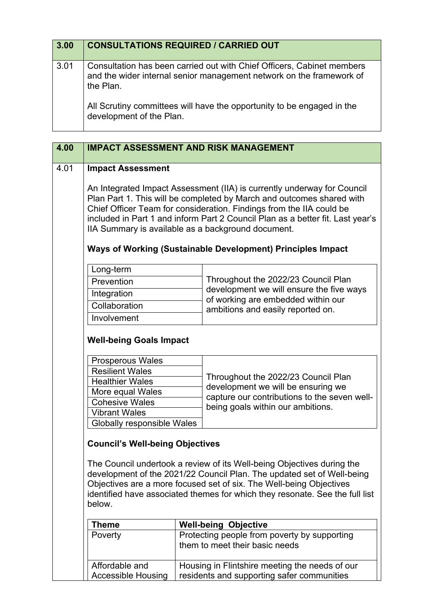| 3.00 | <b>CONSULTATIONS REQUIRED / CARRIED OUT</b>                                                                                                                 |
|------|-------------------------------------------------------------------------------------------------------------------------------------------------------------|
| 3.01 | Consultation has been carried out with Chief Officers, Cabinet members<br>and the wider internal senior management network on the framework of<br>the Plan. |
|      | All Scrutiny committees will have the opportunity to be engaged in the<br>development of the Plan.                                                          |

| 4.00 |                                                  | <b>IMPACT ASSESSMENT AND RISK MANAGEMENT</b>                                                                                                                                                                                                                                                                                                                     |
|------|--------------------------------------------------|------------------------------------------------------------------------------------------------------------------------------------------------------------------------------------------------------------------------------------------------------------------------------------------------------------------------------------------------------------------|
| 4.01 | <b>Impact Assessment</b>                         |                                                                                                                                                                                                                                                                                                                                                                  |
|      |                                                  | An Integrated Impact Assessment (IIA) is currently underway for Council<br>Plan Part 1. This will be completed by March and outcomes shared with<br>Chief Officer Team for consideration. Findings from the IIA could be<br>included in Part 1 and inform Part 2 Council Plan as a better fit. Last year's<br>IIA Summary is available as a background document. |
|      |                                                  | Ways of Working (Sustainable Development) Principles Impact                                                                                                                                                                                                                                                                                                      |
|      | Long-term                                        |                                                                                                                                                                                                                                                                                                                                                                  |
|      | Prevention                                       | Throughout the 2022/23 Council Plan                                                                                                                                                                                                                                                                                                                              |
|      | Integration                                      | development we will ensure the five ways                                                                                                                                                                                                                                                                                                                         |
|      | Collaboration                                    | of working are embedded within our<br>ambitions and easily reported on.                                                                                                                                                                                                                                                                                          |
|      | Involvement                                      |                                                                                                                                                                                                                                                                                                                                                                  |
|      | <b>Well-being Goals Impact</b>                   |                                                                                                                                                                                                                                                                                                                                                                  |
|      | Prosperous Wales                                 |                                                                                                                                                                                                                                                                                                                                                                  |
|      | <b>Resilient Wales</b><br><b>Healthier Wales</b> | Throughout the 2022/23 Council Plan                                                                                                                                                                                                                                                                                                                              |
|      | More equal Wales                                 | development we will be ensuring we                                                                                                                                                                                                                                                                                                                               |
|      | <b>Cohesive Wales</b>                            | capture our contributions to the seven well-<br>being goals within our ambitions.                                                                                                                                                                                                                                                                                |
|      | <b>Vibrant Wales</b>                             |                                                                                                                                                                                                                                                                                                                                                                  |
|      | Globally responsible Wales                       |                                                                                                                                                                                                                                                                                                                                                                  |
|      | <b>Council's Well-being Objectives</b>           |                                                                                                                                                                                                                                                                                                                                                                  |
|      | below.                                           | The Council undertook a review of its Well-being Objectives during the<br>development of the 2021/22 Council Plan. The updated set of Well-being<br>Objectives are a more focused set of six. The Well-being Objectives<br>identified have associated themes for which they resonate. See the full list                                                          |
|      | <b>Theme</b>                                     | <b>Well-being Objective</b>                                                                                                                                                                                                                                                                                                                                      |
|      | Poverty                                          | Protecting people from poverty by supporting                                                                                                                                                                                                                                                                                                                     |
|      |                                                  | them to meet their basic needs                                                                                                                                                                                                                                                                                                                                   |
|      | Affordable and                                   | Housing in Flintshire meeting the needs of our                                                                                                                                                                                                                                                                                                                   |

residents and supporting safer communities

Accessible Housing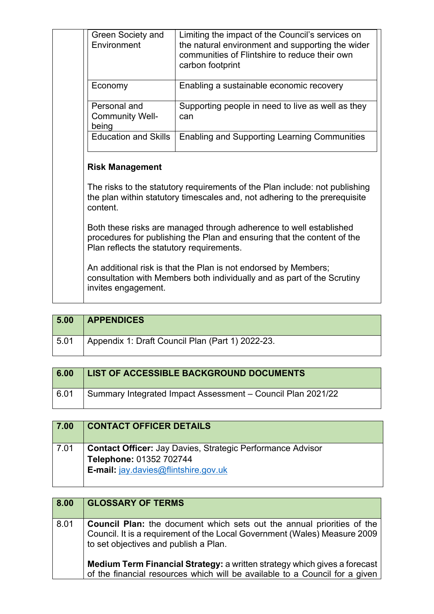| Green Society and<br>Environment                | Limiting the impact of the Council's services on<br>the natural environment and supporting the wider<br>communities of Flintshire to reduce their own<br>carbon footprint |
|-------------------------------------------------|---------------------------------------------------------------------------------------------------------------------------------------------------------------------------|
| Economy                                         | Enabling a sustainable economic recovery                                                                                                                                  |
| Personal and<br><b>Community Well-</b><br>being | Supporting people in need to live as well as they<br>can                                                                                                                  |
| <b>Education and Skills</b>                     | <b>Enabling and Supporting Learning Communities</b>                                                                                                                       |
|                                                 |                                                                                                                                                                           |
| <b>Risk Management</b><br>content.              | The risks to the statutory requirements of the Plan include: not publishing<br>the plan within statutory timescales and, not adhering to the prerequisite                 |
| Plan reflects the statutory requirements.       | Both these risks are managed through adherence to well established<br>procedures for publishing the Plan and ensuring that the content of the                             |

| 5.00 | <b>APPENDICES</b>                                |
|------|--------------------------------------------------|
| 5.01 | Appendix 1: Draft Council Plan (Part 1) 2022-23. |

| 6.00 | <b>LIST OF ACCESSIBLE BACKGROUND DOCUMENTS</b>              |
|------|-------------------------------------------------------------|
| 6.01 | Summary Integrated Impact Assessment - Council Plan 2021/22 |

| 7.00 | <b>CONTACT OFFICER DETAILS</b>                                                                                                                |
|------|-----------------------------------------------------------------------------------------------------------------------------------------------|
| 7.01 | <b>Contact Officer: Jay Davies, Strategic Performance Advisor</b><br>Telephone: 01352 702744<br><b>E-mail:</b> $jay.davies@flintshire.gov.uk$ |

| 8.00 | <b>GLOSSARY OF TERMS</b>                                                                                                                                                                            |
|------|-----------------------------------------------------------------------------------------------------------------------------------------------------------------------------------------------------|
| 8.01 | <b>Council Plan:</b> the document which sets out the annual priorities of the<br>Council. It is a requirement of the Local Government (Wales) Measure 2009<br>to set objectives and publish a Plan. |
|      | <b>Medium Term Financial Strategy: a written strategy which gives a forecast</b><br>of the financial resources which will be available to a Council for a given                                     |